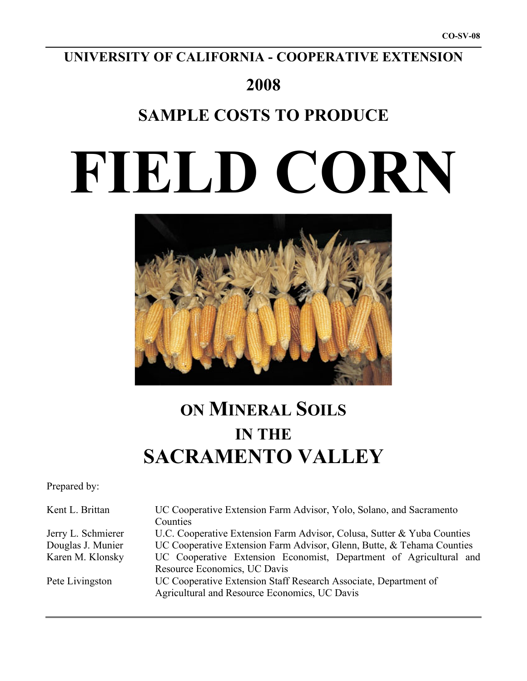## **UNIVERSITY OF CALIFORNIA - COOPERATIVE EXTENSION**

## **2008**

# **SAMPLE COSTS TO PRODUCE**

# **FIELD CORN**



# **ON MINERAL SOILS IN THE SACRAMENTO VALLEY**

Prepared by:

| Kent L. Brittan    | UC Cooperative Extension Farm Advisor, Yolo, Solano, and Sacramento     |  |  |  |  |  |  |
|--------------------|-------------------------------------------------------------------------|--|--|--|--|--|--|
|                    | Counties                                                                |  |  |  |  |  |  |
| Jerry L. Schmierer | U.C. Cooperative Extension Farm Advisor, Colusa, Sutter & Yuba Counties |  |  |  |  |  |  |
| Douglas J. Munier  | UC Cooperative Extension Farm Advisor, Glenn, Butte, & Tehama Counties  |  |  |  |  |  |  |
| Karen M. Klonsky   | UC Cooperative Extension Economist, Department of Agricultural and      |  |  |  |  |  |  |
|                    | Resource Economics, UC Davis                                            |  |  |  |  |  |  |
| Pete Livingston    | UC Cooperative Extension Staff Research Associate, Department of        |  |  |  |  |  |  |
|                    | Agricultural and Resource Economics, UC Davis                           |  |  |  |  |  |  |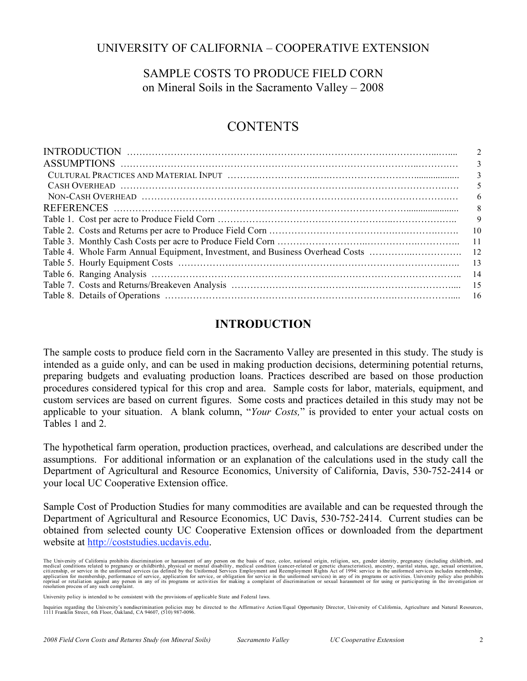## UNIVERSITY OF CALIFORNIA – COOPERATIVE EXTENSION

## SAMPLE COSTS TO PRODUCE FIELD CORN on Mineral Soils in the Sacramento Valley – 2008

## **CONTENTS**

| 2     |
|-------|
| 3     |
| 3     |
| 5     |
| 6     |
| 8     |
| 9     |
| 10    |
| $-11$ |
|       |
| 13    |
| -14   |
| -15   |
|       |
|       |

## **INTRODUCTION**

The sample costs to produce field corn in the Sacramento Valley are presented in this study. The study is intended as a guide only, and can be used in making production decisions, determining potential returns, preparing budgets and evaluating production loans. Practices described are based on those production procedures considered typical for this crop and area. Sample costs for labor, materials, equipment, and custom services are based on current figures. Some costs and practices detailed in this study may not be applicable to your situation. A blank column, "*Your Costs,*" is provided to enter your actual costs on Tables 1 and 2.

The hypothetical farm operation, production practices, overhead, and calculations are described under the assumptions. For additional information or an explanation of the calculations used in the study call the Department of Agricultural and Resource Economics, University of California, Davis, 530-752-2414 or your local UC Cooperative Extension office.

Sample Cost of Production Studies for many commodities are available and can be requested through the Department of Agricultural and Resource Economics, UC Davis, 530-752-2414. Current studies can be obtained from selected county UC Cooperative Extension offices or downloaded from the department website at http://coststudies.ucdavis.edu.

The University of California prohibits discrimination or harassment of any person on the basis of race, color, national origin, religion, sex, gender identity, pregnancy (including childbirth, and medical conditions relate resolution process of any such complaint.

University policy is intended to be consistent with the provisions of applicable State and Federal laws.

Inquiries regarding the University's nondiscrimination policies may be directed to the Affirmative Action/Equal Opportunity Director, University of California, Agriculture and Natural Resources,<br>1111 Franklin Street, 6th F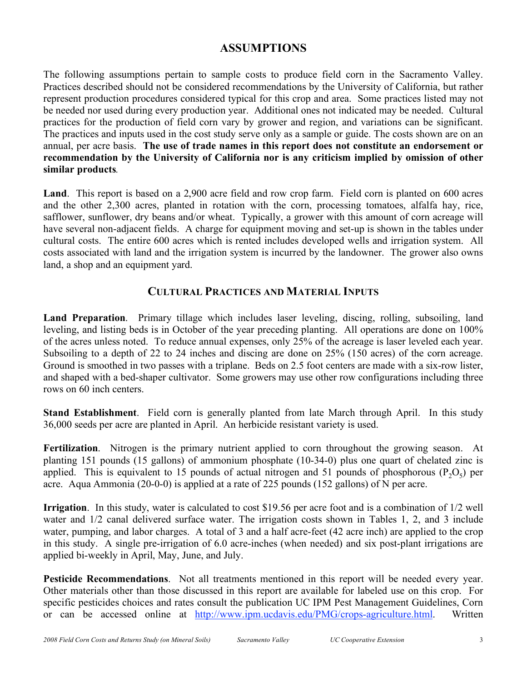## **ASSUMPTIONS**

The following assumptions pertain to sample costs to produce field corn in the Sacramento Valley. Practices described should not be considered recommendations by the University of California, but rather represent production procedures considered typical for this crop and area. Some practices listed may not be needed nor used during every production year. Additional ones not indicated may be needed. Cultural practices for the production of field corn vary by grower and region, and variations can be significant. The practices and inputs used in the cost study serve only as a sample or guide. The costs shown are on an annual, per acre basis. **The use of trade names in this report does not constitute an endorsement or recommendation by the University of California nor is any criticism implied by omission of other similar products***.*

**Land**. This report is based on a 2,900 acre field and row crop farm. Field corn is planted on 600 acres and the other 2,300 acres, planted in rotation with the corn, processing tomatoes, alfalfa hay, rice, safflower, sunflower, dry beans and/or wheat. Typically, a grower with this amount of corn acreage will have several non-adjacent fields. A charge for equipment moving and set-up is shown in the tables under cultural costs. The entire 600 acres which is rented includes developed wells and irrigation system. All costs associated with land and the irrigation system is incurred by the landowner. The grower also owns land, a shop and an equipment yard.

## **CULTURAL PRACTICES AND MATERIAL INPUTS**

**Land Preparation**. Primary tillage which includes laser leveling, discing, rolling, subsoiling, land leveling, and listing beds is in October of the year preceding planting. All operations are done on 100% of the acres unless noted. To reduce annual expenses, only 25% of the acreage is laser leveled each year. Subsoiling to a depth of 22 to 24 inches and discing are done on 25% (150 acres) of the corn acreage. Ground is smoothed in two passes with a triplane. Beds on 2.5 foot centers are made with a six-row lister, and shaped with a bed-shaper cultivator. Some growers may use other row configurations including three rows on 60 inch centers.

**Stand Establishment**. Field corn is generally planted from late March through April. In this study 36,000 seeds per acre are planted in April. An herbicide resistant variety is used.

**Fertilization**. Nitrogen is the primary nutrient applied to corn throughout the growing season. At planting 151 pounds (15 gallons) of ammonium phosphate (10-34-0) plus one quart of chelated zinc is applied. This is equivalent to 15 pounds of actual nitrogen and 51 pounds of phosphorous  $(P_2O_5)$  per acre. Aqua Ammonia (20-0-0) is applied at a rate of 225 pounds (152 gallons) of N per acre.

**Irrigation**. In this study, water is calculated to cost \$19.56 per acre foot and is a combination of 1/2 well water and  $1/2$  canal delivered surface water. The irrigation costs shown in Tables 1, 2, and 3 include water, pumping, and labor charges. A total of 3 and a half acre-feet (42 acre inch) are applied to the crop in this study. A single pre-irrigation of 6.0 acre-inches (when needed) and six post-plant irrigations are applied bi-weekly in April, May, June, and July.

**Pesticide Recommendations**. Not all treatments mentioned in this report will be needed every year. Other materials other than those discussed in this report are available for labeled use on this crop. For specific pesticides choices and rates consult the publication UC IPM Pest Management Guidelines, Corn or can be accessed online at http://www.ipm.ucdavis.edu/PMG/crops-agriculture.html. Written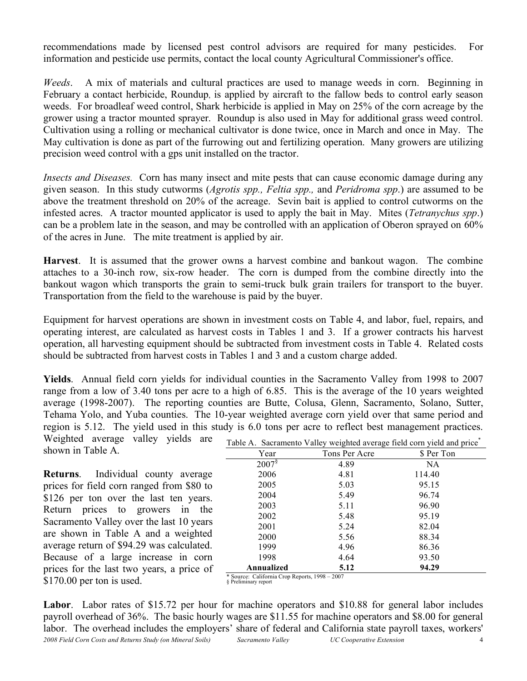recommendations made by licensed pest control advisors are required for many pesticides. For information and pesticide use permits, contact the local county Agricultural Commissioner's office.

*Weeds*. A mix of materials and cultural practices are used to manage weeds in corn. Beginning in February a contact herbicide, Roundup, is applied by aircraft to the fallow beds to control early season weeds. For broadleaf weed control, Shark herbicide is applied in May on 25% of the corn acreage by the grower using a tractor mounted sprayer. Roundup is also used in May for additional grass weed control. Cultivation using a rolling or mechanical cultivator is done twice, once in March and once in May. The May cultivation is done as part of the furrowing out and fertilizing operation. Many growers are utilizing precision weed control with a gps unit installed on the tractor.

*Insects and Diseases.* Corn has many insect and mite pests that can cause economic damage during any given season. In this study cutworms (*Agrotis spp., Feltia spp.,* and *Peridroma spp*.) are assumed to be above the treatment threshold on 20% of the acreage. Sevin bait is applied to control cutworms on the infested acres. A tractor mounted applicator is used to apply the bait in May. Mites (*Tetranychus spp*.) can be a problem late in the season, and may be controlled with an application of Oberon sprayed on 60% of the acres in June. The mite treatment is applied by air.

**Harvest**. It is assumed that the grower owns a harvest combine and bankout wagon. The combine attaches to a 30-inch row, six-row header. The corn is dumped from the combine directly into the bankout wagon which transports the grain to semi-truck bulk grain trailers for transport to the buyer. Transportation from the field to the warehouse is paid by the buyer.

Equipment for harvest operations are shown in investment costs on Table 4, and labor, fuel, repairs, and operating interest, are calculated as harvest costs in Tables 1 and 3. If a grower contracts his harvest operation, all harvesting equipment should be subtracted from investment costs in Table 4. Related costs should be subtracted from harvest costs in Tables 1 and 3 and a custom charge added.

**Yields**. Annual field corn yields for individual counties in the Sacramento Valley from 1998 to 2007 range from a low of 3.40 tons per acre to a high of 6.85. This is the average of the 10 years weighted average (1998-2007). The reporting counties are Butte, Colusa, Glenn, Sacramento, Solano, Sutter, Tehama Yolo, and Yuba counties. The 10-year weighted average corn yield over that same period and region is 5.12. The yield used in this study is 6.0 tons per acre to reflect best management practices.

Weighted average valley yields are shown in Table A.

**Returns**. Individual county average prices for field corn ranged from \$80 to \$126 per ton over the last ten years. Return prices to growers in the Sacramento Valley over the last 10 years are shown in Table A and a weighted average return of \$94.29 was calculated. Because of a large increase in corn prices for the last two years, a price of \$170.00 per ton is used.

| Table A. Sacramento Valley weighted average field corn yield and price <sup>*</sup> |  |  |  |  |  |
|-------------------------------------------------------------------------------------|--|--|--|--|--|
|                                                                                     |  |  |  |  |  |

| Year                 | Tons Per Acre | \$ Per Ton |
|----------------------|---------------|------------|
| $2007^{\frac{5}{3}}$ | 4.89          | NA.        |
| 2006                 | 4.81          | 114.40     |
| 2005                 | 5.03          | 95.15      |
| 2004                 | 5.49          | 96.74      |
| 2003                 | 5.11          | 96.90      |
| 2002                 | 5.48          | 95.19      |
| 2001                 | 5.24          | 82.04      |
| 2000                 | 5.56          | 88.34      |
| 1999                 | 4.96          | 86.36      |
| 1998                 | 4.64          | 93.50      |
| Annualized           | 5.12          | 94.29      |

<sup>\*</sup> Source: California Crop Reports, 1998 – 2007 § Preliminary report

*2008 Field Corn Costs and Returns Study (on Mineral Soils) Sacramento Valley UC Cooperative Extension* 4 **Labor**. Labor rates of \$15.72 per hour for machine operators and \$10.88 for general labor includes payroll overhead of 36%. The basic hourly wages are \$11.55 for machine operators and \$8.00 for general labor. The overhead includes the employers' share of federal and California state payroll taxes, workers'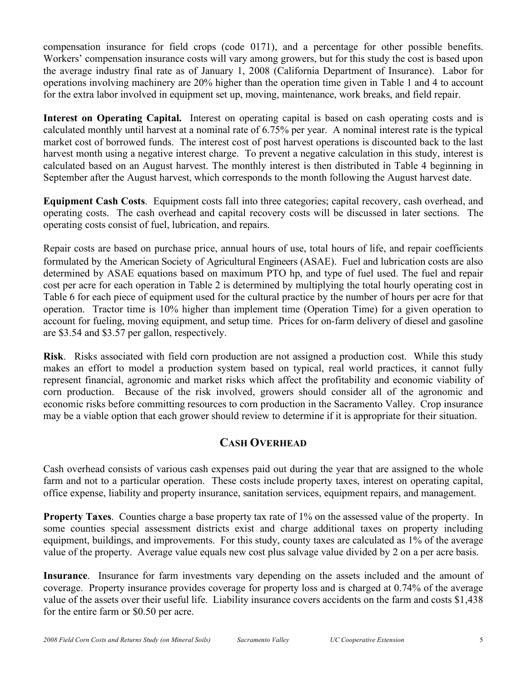compensation insurance for field crops (code 0171), and a percentage for other possible benefits. Workers' compensation insurance costs will vary among growers, but for this study the cost is based upon the average industry final rate as of January 1, 2008 (California Department of Insurance). Labor for operations involving machinery are 20% higher than the operation time given in Table 1 and 4 to account for the extra labor involved in equipment set up, moving, maintenance, work breaks, and field repair.

**Interest on Operating Capital.** Interest on operating capital is based on cash operating costs and is calculated monthly until harvest at a nominal rate of 6.75% per year. A nominal interest rate is the typical market cost of borrowed funds. The interest cost of post harvest operations is discounted back to the last harvest month using a negative interest charge. To prevent a negative calculation in this study, interest is calculated based on an August harvest. The monthly interest is then distributed in Table 4 beginning in September after the August harvest, which corresponds to the month following the August harvest date.

**Equipment Cash Costs**. Equipment costs fall into three categories; capital recovery, cash overhead, and operating costs. The cash overhead and capital recovery costs will be discussed in later sections. The operating costs consist of fuel, lubrication, and repairs.

Repair costs are based on purchase price, annual hours of use, total hours of life, and repair coefficients formulated by the American Society of Agricultural Engineers (ASAE). Fuel and lubrication costs are also determined by ASAE equations based on maximum PTO hp, and type of fuel used. The fuel and repair cost per acre for each operation in Table 2 is determined by multiplying the total hourly operating cost in Table 6 for each piece of equipment used for the cultural practice by the number of hours per acre for that operation. Tractor time is 10% higher than implement time (Operation Time) for a given operation to account for fueling, moving equipment, and setup time. Prices for on-farm delivery of diesel and gasoline are \$3.54 and \$3.57 per gallon, respectively.

**Risk**. Risks associated with field corn production are not assigned a production cost. While this study makes an effort to model a production system based on typical, real world practices, it cannot fully represent financial, agronomic and market risks which affect the profitability and economic viability of corn production. Because of the risk involved, growers should consider all of the agronomic and economic risks before committing resources to corn production in the Sacramento Valley. Crop insurance may be a viable option that each grower should review to determine if it is appropriate for their situation.

## **CASH OVERHEAD**

Cash overhead consists of various cash expenses paid out during the year that are assigned to the whole farm and not to a particular operation. These costs include property taxes, interest on operating capital, office expense, liability and property insurance, sanitation services, equipment repairs, and management.

**Property Taxes**. Counties charge a base property tax rate of 1% on the assessed value of the property. In some counties special assessment districts exist and charge additional taxes on property including equipment, buildings, and improvements. For this study, county taxes are calculated as 1% of the average value of the property. Average value equals new cost plus salvage value divided by 2 on a per acre basis.

**Insurance**. Insurance for farm investments vary depending on the assets included and the amount of coverage. Property insurance provides coverage for property loss and is charged at 0.74% of the average value of the assets over their useful life. Liability insurance covers accidents on the farm and costs \$1,438 for the entire farm or \$0.50 per acre.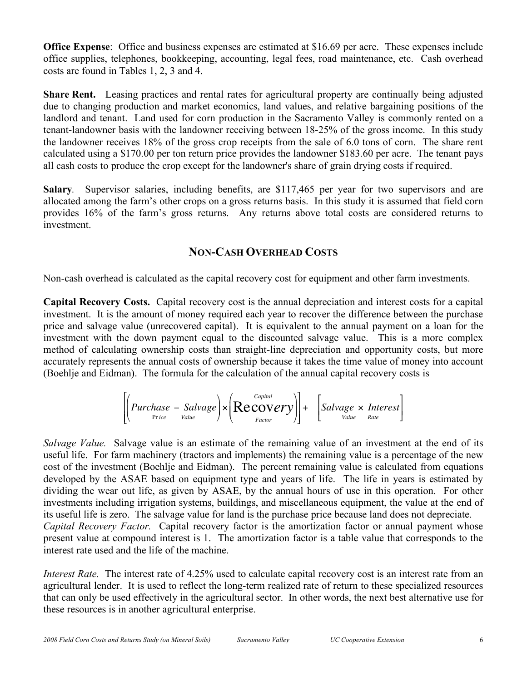**Office Expense**: Office and business expenses are estimated at \$16.69 per acre. These expenses include office supplies, telephones, bookkeeping, accounting, legal fees, road maintenance, etc. Cash overhead costs are found in Tables 1, 2, 3 and 4.

**Share Rent.** Leasing practices and rental rates for agricultural property are continually being adjusted due to changing production and market economics, land values, and relative bargaining positions of the landlord and tenant. Land used for corn production in the Sacramento Valley is commonly rented on a tenant-landowner basis with the landowner receiving between 18-25% of the gross income. In this study the landowner receives 18% of the gross crop receipts from the sale of 6.0 tons of corn. The share rent calculated using a \$170.00 per ton return price provides the landowner \$183.60 per acre. The tenant pays all cash costs to produce the crop except for the landowner's share of grain drying costs if required.

**Salary***.* Supervisor salaries, including benefits, are \$117,465 per year for two supervisors and are allocated among the farm's other crops on a gross returns basis. In this study it is assumed that field corn provides 16% of the farm's gross returns. Any returns above total costs are considered returns to investment.

## **NON-CASH OVERHEAD COSTS**

Non-cash overhead is calculated as the capital recovery cost for equipment and other farm investments.

**Capital Recovery Costs.** Capital recovery cost is the annual depreciation and interest costs for a capital investment. It is the amount of money required each year to recover the difference between the purchase price and salvage value (unrecovered capital). It is equivalent to the annual payment on a loan for the investment with the down payment equal to the discounted salvage value. This is a more complex method of calculating ownership costs than straight-line depreciation and opportunity costs, but more accurately represents the annual costs of ownership because it takes the time value of money into account (Boehlje and Eidman). The formula for the calculation of the annual capital recovery costs is

$$
\left[\left(Purchase - \underset{P\text{rice}}{Salvage}\right) \times \left(Recovers\text{Capital}}{Recovers}]\right] + \left[\underset{Factor}{Salvage} \times \underset{Rate}{Interest}\right]
$$

cost of the investment (Boehlje and Eidman). The percent remaining value is calculated from equations *Salvage Value.* Salvage value is an estimate of the remaining value of an investment at the end of its useful life. For farm machinery (tractors and implements) the remaining value is a percentage of the new developed by the ASAE based on equipment type and years of life. The life in years is estimated by dividing the wear out life, as given by ASAE, by the annual hours of use in this operation. For other investments including irrigation systems, buildings, and miscellaneous equipment, the value at the end of its useful life is zero. The salvage value for land is the purchase price because land does not depreciate. *Capital Recovery Factor.* Capital recovery factor is the amortization factor or annual payment whose present value at compound interest is 1. The amortization factor is a table value that corresponds to the interest rate used and the life of the machine.

*Interest Rate.* The interest rate of 4.25% used to calculate capital recovery cost is an interest rate from an agricultural lender. It is used to reflect the long-term realized rate of return to these specialized resources that can only be used effectively in the agricultural sector. In other words, the next best alternative use for these resources is in another agricultural enterprise.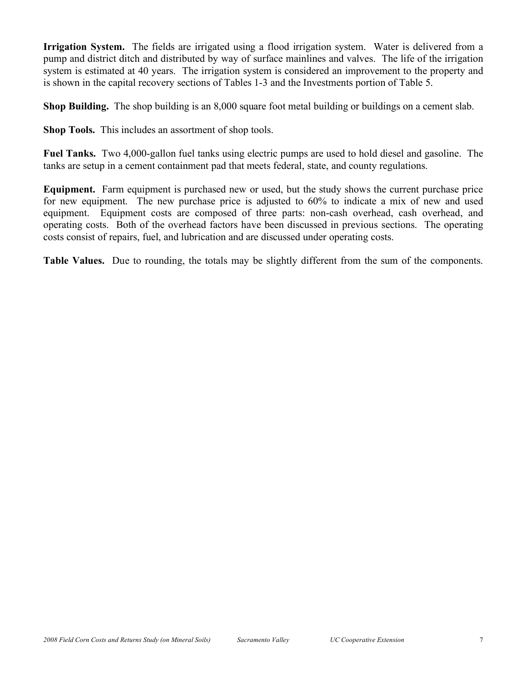**Irrigation System.** The fields are irrigated using a flood irrigation system. Water is delivered from a pump and district ditch and distributed by way of surface mainlines and valves. The life of the irrigation system is estimated at 40 years. The irrigation system is considered an improvement to the property and is shown in the capital recovery sections of Tables 1-3 and the Investments portion of Table 5.

**Shop Building.** The shop building is an 8,000 square foot metal building or buildings on a cement slab.

**Shop Tools.** This includes an assortment of shop tools.

**Fuel Tanks.** Two 4,000-gallon fuel tanks using electric pumps are used to hold diesel and gasoline. The tanks are setup in a cement containment pad that meets federal, state, and county regulations.

**Equipment.** Farm equipment is purchased new or used, but the study shows the current purchase price for new equipment. The new purchase price is adjusted to 60% to indicate a mix of new and used equipment. Equipment costs are composed of three parts: non-cash overhead, cash overhead, and operating costs. Both of the overhead factors have been discussed in previous sections. The operating costs consist of repairs, fuel, and lubrication and are discussed under operating costs.

**Table Values.** Due to rounding, the totals may be slightly different from the sum of the components.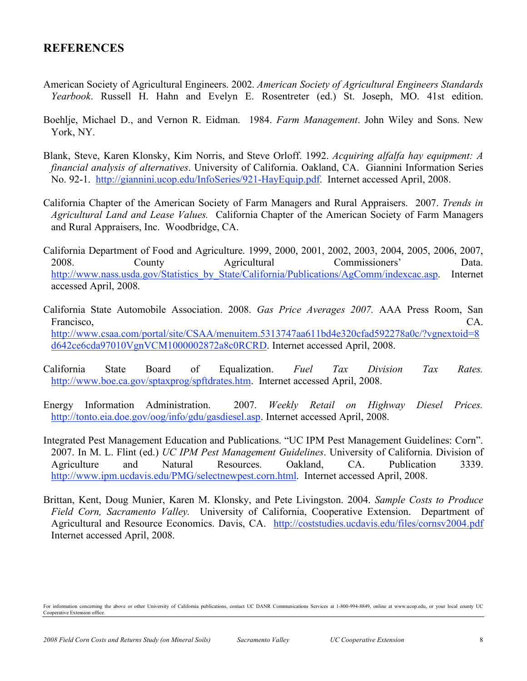### **REFERENCES**

- American Society of Agricultural Engineers. 2002. *American Society of Agricultural Engineers Standards Yearbook*. Russell H. Hahn and Evelyn E. Rosentreter (ed.) St. Joseph, MO. 41st edition.
- Boehlje, Michael D., and Vernon R. Eidman. 1984. *Farm Management*. John Wiley and Sons. New York, NY.
- Blank, Steve, Karen Klonsky, Kim Norris, and Steve Orloff. 1992. *Acquiring alfalfa hay equipment: A financial analysis of alternatives*. University of California. Oakland, CA. Giannini Information Series No. 92-1. http://giannini.ucop.edu/InfoSeries/921-HayEquip.pdf. Internet accessed April, 2008.
- California Chapter of the American Society of Farm Managers and Rural Appraisers. 2007. *Trends in Agricultural Land and Lease Values.* California Chapter of the American Society of Farm Managers and Rural Appraisers, Inc. Woodbridge, CA.
- California Department of Food and Agriculture. 1999, 2000, 2001, 2002, 2003, 2004, 2005, 2006, 2007, 2008. County Agricultural Commissioners' Data. http://www.nass.usda.gov/Statistics\_by\_State/California/Publications/AgComm/indexcac.asp. Internet accessed April, 2008.
- California State Automobile Association. 2008. *Gas Price Averages 2007.* AAA Press Room, San Francisco, CA. http://www.csaa.com/portal/site/CSAA/menuitem.5313747aa611bd4e320cfad592278a0c/?vgnextoid=8 d642ce6cda97010VgnVCM1000002872a8c0RCRD. Internet accessed April, 2008.
- California State Board of Equalization. *Fuel Tax Division Tax Rates.* http://www.boe.ca.gov/sptaxprog/spftdrates.htm. Internet accessed April, 2008.
- Energy Information Administration. 2007. *Weekly Retail on Highway Diesel Prices.* http://tonto.eia.doe.gov/oog/info/gdu/gasdiesel.asp. Internet accessed April, 2008.
- Integrated Pest Management Education and Publications. "UC IPM Pest Management Guidelines: Corn". 2007. In M. L. Flint (ed.) *UC IPM Pest Management Guidelines*. University of California. Division of Agriculture and Natural Resources. Oakland, CA. Publication 3339. http://www.ipm.ucdavis.edu/PMG/selectnewpest.corn.html. Internet accessed April, 2008.
- Brittan, Kent, Doug Munier, Karen M. Klonsky, and Pete Livingston. 2004. *Sample Costs to Produce Field Corn, Sacramento Valley.* University of California, Cooperative Extension. Department of Agricultural and Resource Economics. Davis, CA. http://coststudies.ucdavis.edu/files/cornsv2004.pdf Internet accessed April, 2008.

For information concerning the above or other University of California publications, contact UC DANR Communications Services at 1-800-994-8849, online at www.ucop.edu, or your local county UC Cooperative Extension office.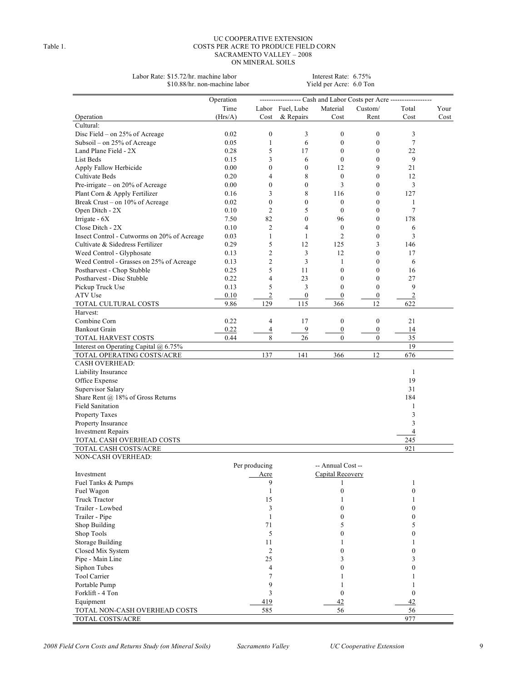#### UC COOPERATIVE EXTENSION Table 1. COSTS PER ACRE TO PRODUCE FIELD CORN SACRAMENTO VALLEY – 2008 ON MINERAL SOILS

Labor Rate: \$15.72/hr. machine labor Interest Rate: 6.75% \$10.88/hr. non-machine labor Yield per Acre: 6.0 Ton \$10.88/hr. non-machine labor

|                                             | - Cash and Labor Costs per Acre -<br>Operation |                  |                  |                   |                  |                  |      |  |  |  |  |
|---------------------------------------------|------------------------------------------------|------------------|------------------|-------------------|------------------|------------------|------|--|--|--|--|
|                                             | Time                                           |                  | Labor Fuel, Lube | Material          | Custom/          | Total            | Your |  |  |  |  |
| Operation                                   | (Hrs/A)                                        | Cost             | & Repairs        | Cost              | Rent             | Cost             | Cost |  |  |  |  |
| Cultural:                                   |                                                |                  |                  |                   |                  |                  |      |  |  |  |  |
| Disc Field – on 25% of Acreage              | 0.02                                           | $\boldsymbol{0}$ | 3                | $\boldsymbol{0}$  | $\boldsymbol{0}$ | 3                |      |  |  |  |  |
| Subsoil - on 25% of Acreage                 | 0.05                                           | $\mathbf{1}$     | 6                | $\mathbf{0}$      | $\mathbf{0}$     | 7                |      |  |  |  |  |
| Land Plane Field - 2X                       | 0.28                                           | 5                | 17               | $\mathbf{0}$      | $\mathbf{0}$     | 22               |      |  |  |  |  |
| List Beds                                   | 0.15                                           | 3                | 6                | $\mathbf{0}$      | $\boldsymbol{0}$ | 9                |      |  |  |  |  |
| Apply Fallow Herbicide                      | 0.00                                           | $\theta$         | $\mathbf{0}$     | 12                | 9                | 21               |      |  |  |  |  |
| Cultivate Beds                              | 0.20                                           | 4                | 8                | $\boldsymbol{0}$  | $\mathbf{0}$     | 12               |      |  |  |  |  |
| Pre-irrigate – on 20% of Acreage            | 0.00                                           | $\mathbf{0}$     | $\mathbf{0}$     | 3                 | $\mathbf{0}$     | 3                |      |  |  |  |  |
| Plant Corn & Apply Fertilizer               | 0.16                                           | 3                | 8                | 116               | $\mathbf{0}$     | 127              |      |  |  |  |  |
| Break Crust - on 10% of Acreage             | 0.02                                           | $\mathbf{0}$     | $\mathbf{0}$     | $\mathbf{0}$      | $\mathbf{0}$     | 1                |      |  |  |  |  |
| Open Ditch - 2X                             | 0.10                                           | $\overline{2}$   | 5                | $\mathbf{0}$      | $\mathbf{0}$     | 7                |      |  |  |  |  |
|                                             |                                                | 82               | $\mathbf{0}$     |                   |                  |                  |      |  |  |  |  |
| Irrigate - $6X$                             | 7.50                                           |                  | $\overline{4}$   | 96                | $\mathbf{0}$     | 178              |      |  |  |  |  |
| Close Ditch - 2X                            | 0.10                                           | $\overline{2}$   |                  | $\mathbf{0}$      | $\mathbf{0}$     | 6                |      |  |  |  |  |
| Insect Control - Cutworms on 20% of Acreage | 0.03                                           | 1                | 1                | $\overline{2}$    | $\mathbf{0}$     | 3                |      |  |  |  |  |
| Cultivate & Sidedress Fertilizer            | 0.29                                           | 5                | 12               | 125               | 3                | 146              |      |  |  |  |  |
| Weed Control - Glyphosate                   | 0.13                                           | $\overline{2}$   | 3                | 12                | $\mathbf{0}$     | 17               |      |  |  |  |  |
| Weed Control - Grasses on 25% of Acreage    | 0.13                                           | $\overline{2}$   | 3                | 1                 | $\theta$         | 6                |      |  |  |  |  |
| Postharvest - Chop Stubble                  | 0.25                                           | 5                | 11               | $\mathbf{0}$      | $\mathbf{0}$     | 16               |      |  |  |  |  |
| Postharvest - Disc Stubble                  | 0.22                                           | $\overline{4}$   | 23               | $\mathbf{0}$      | $\mathbf{0}$     | 27               |      |  |  |  |  |
| Pickup Truck Use                            | 0.13                                           | 5                | 3                | $\theta$          | $\theta$         | 9                |      |  |  |  |  |
| ATV Use                                     | 0.10                                           | $\overline{2}$   | $\boldsymbol{0}$ | $\boldsymbol{0}$  | $\boldsymbol{0}$ | $\overline{2}$   |      |  |  |  |  |
| TOTAL CULTURAL COSTS                        | 9.86                                           | 129              | 115              | 366               | 12               | 622              |      |  |  |  |  |
| Harvest:                                    |                                                |                  |                  |                   |                  |                  |      |  |  |  |  |
| Combine Corn                                | 0.22                                           | $\overline{4}$   | 17               | $\boldsymbol{0}$  | $\boldsymbol{0}$ | 21               |      |  |  |  |  |
| <b>Bankout Grain</b>                        | 0.22                                           | 4                | 9                | $\boldsymbol{0}$  | $\boldsymbol{0}$ | 14               |      |  |  |  |  |
| TOTAL HARVEST COSTS                         | 0.44                                           | 8                | 26               | $\mathbf{0}$      | $\mathbf{0}$     | 35               |      |  |  |  |  |
| Interest on Operating Capital $(a)$ 6.75%   |                                                |                  |                  |                   |                  | 19               |      |  |  |  |  |
| TOTAL OPERATING COSTS/ACRE                  |                                                | 137              | 141              | 366               | 12               | 676              |      |  |  |  |  |
| <b>CASH OVERHEAD:</b>                       |                                                |                  |                  |                   |                  |                  |      |  |  |  |  |
| Liability Insurance                         |                                                |                  |                  |                   |                  | $\mathbf{1}$     |      |  |  |  |  |
| Office Expense                              |                                                |                  |                  |                   |                  | 19               |      |  |  |  |  |
| Supervisor Salary                           |                                                |                  |                  |                   |                  | 31               |      |  |  |  |  |
| Share Rent @ 18% of Gross Returns           |                                                |                  |                  |                   |                  | 184              |      |  |  |  |  |
| <b>Field Sanitation</b>                     |                                                |                  |                  |                   |                  | 1                |      |  |  |  |  |
| Property Taxes                              |                                                |                  |                  |                   |                  | 3                |      |  |  |  |  |
| Property Insurance                          |                                                |                  |                  |                   |                  | 3                |      |  |  |  |  |
| <b>Investment Repairs</b>                   |                                                |                  |                  |                   |                  | 4                |      |  |  |  |  |
| TOTAL CASH OVERHEAD COSTS                   |                                                |                  |                  |                   |                  | 245              |      |  |  |  |  |
| TOTAL CASH COSTS/ACRE                       |                                                |                  |                  |                   |                  | 921              |      |  |  |  |  |
| NON-CASH OVERHEAD:                          |                                                |                  |                  |                   |                  |                  |      |  |  |  |  |
|                                             |                                                | Per producing    |                  | -- Annual Cost -- |                  |                  |      |  |  |  |  |
|                                             |                                                | Acre             |                  | Capital Recovery  |                  |                  |      |  |  |  |  |
| Investment<br>Fuel Tanks & Pumps            |                                                | 9                |                  | 1                 |                  | 1                |      |  |  |  |  |
|                                             |                                                |                  |                  | $\boldsymbol{0}$  |                  | $\boldsymbol{0}$ |      |  |  |  |  |
| Fuel Wagon                                  |                                                | 1                |                  |                   |                  |                  |      |  |  |  |  |
| <b>Truck Tractor</b>                        |                                                | 15               |                  | 1                 |                  | 1                |      |  |  |  |  |
| Trailer - Lowbed                            |                                                | 3                |                  | $\mathbf{0}$      |                  | $\mathbf{0}$     |      |  |  |  |  |
| Trailer - Pipe                              |                                                | 1                |                  | $\boldsymbol{0}$  |                  | $\boldsymbol{0}$ |      |  |  |  |  |
| Shop Building                               |                                                | 71               |                  | 5                 |                  | 5                |      |  |  |  |  |
| Shop Tools                                  |                                                | 5                |                  | $\mathbf{0}$      |                  | $\mathbf{0}$     |      |  |  |  |  |
| <b>Storage Building</b>                     |                                                | 11               |                  | 1                 |                  | 1                |      |  |  |  |  |
| Closed Mix System                           |                                                | $\overline{2}$   |                  | $\mathbf{0}$      |                  | $\mathbf{0}$     |      |  |  |  |  |
| Pipe - Main Line                            |                                                | 25               |                  | 3                 |                  | 3                |      |  |  |  |  |
| Siphon Tubes                                |                                                | 4                |                  | $\mathbf{0}$      |                  | $\mathbf{0}$     |      |  |  |  |  |
| Tool Carrier                                |                                                | 7                |                  | 1                 |                  | 1                |      |  |  |  |  |
| Portable Pump                               |                                                | 9                |                  | 1                 |                  | 1                |      |  |  |  |  |
| Forklift - 4 Ton                            |                                                | 3                |                  | $\boldsymbol{0}$  |                  | $\boldsymbol{0}$ |      |  |  |  |  |
| Equipment                                   |                                                | 419              |                  | 42                |                  | 42               |      |  |  |  |  |
| TOTAL NON-CASH OVERHEAD COSTS               |                                                | 585              |                  | 56                |                  | 56               |      |  |  |  |  |
| TOTAL COSTS/ACRE                            |                                                |                  |                  |                   |                  | 977              |      |  |  |  |  |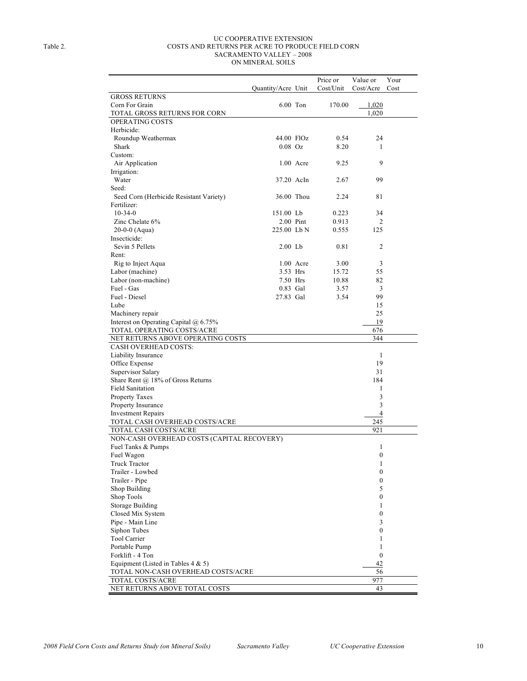#### UC COOPERATIVE EXTENSION Table 2. COSTS AND RETURNS PER ACRE TO PRODUCE FIELD CORN SACRAMENTO VALLEY – 2008 ON MINERAL SOILS

|                                            |                    |             | Price or  | Value or         | Your |
|--------------------------------------------|--------------------|-------------|-----------|------------------|------|
|                                            | Quantity/Acre Unit |             | Cost/Unit | Cost/Acre        | Cost |
| <b>GROSS RETURNS</b>                       |                    |             |           |                  |      |
| Corn For Grain                             | 6.00 Ton           |             | 170.00    | 1,020            |      |
| TOTAL GROSS RETURNS FOR CORN               |                    |             |           | 1,020            |      |
| OPERATING COSTS                            |                    |             |           |                  |      |
| Herbicide:                                 |                    |             |           |                  |      |
| Roundup Weathermax                         | 44.00 FlOz         |             | 0.54      | 24               |      |
| Shark                                      | $0.08$ Oz          |             | 8.20      | 1                |      |
| Custom:                                    |                    |             |           |                  |      |
| Air Application                            |                    | $1.00$ Acre | 9.25      | 9                |      |
| Irrigation:                                |                    |             |           |                  |      |
| Water                                      | 37.20 AcIn         |             | 2.67      | 99               |      |
| Seed:                                      |                    |             |           |                  |      |
|                                            |                    |             |           |                  |      |
| Seed Corn (Herbicide Resistant Variety)    | 36.00 Thou         |             | 2.24      | 81               |      |
| Fertilizer:                                |                    |             |           |                  |      |
| $10-34-0$                                  | 151.00 Lb          |             | 0.223     | 34               |      |
| Zinc Chelate 6%                            |                    | $2.00$ Pint | 0.913     | 2                |      |
| $20-0-0$ (Aqua)                            | 225.00 Lb N        |             | 0.555     | 125              |      |
| Insecticide:                               |                    |             |           |                  |      |
| Sevin 5 Pellets                            | 2.00 Lb            |             | 0.81      | $\overline{c}$   |      |
| Rent:                                      |                    |             |           |                  |      |
| Rig to Inject Aqua                         |                    | 1.00 Acre   | 3.00      | 3                |      |
| Labor (machine)                            | 3.53 Hrs           |             | 15.72     | 55               |      |
| Labor (non-machine)                        | 7.50 Hrs           |             | 10.88     | 82               |      |
| Fuel - Gas                                 | 0.83 Gal           |             | 3.57      | 3                |      |
| Fuel - Diesel                              | 27.83 Gal          |             | 3.54      | 99               |      |
| Lube                                       |                    |             |           | 15               |      |
| Machinery repair                           |                    |             |           | 25               |      |
| Interest on Operating Capital @ 6.75%      |                    |             |           | 19               |      |
| TOTAL OPERATING COSTS/ACRE                 |                    |             |           | 676              |      |
| NET RETURNS ABOVE OPERATING COSTS          |                    |             |           | 344              |      |
| <b>CASH OVERHEAD COSTS:</b>                |                    |             |           |                  |      |
| Liability Insurance                        |                    |             |           | 1                |      |
| Office Expense                             |                    |             |           | 19               |      |
| Supervisor Salary                          |                    |             |           | 31               |      |
| Share Rent $(a)$ 18% of Gross Returns      |                    |             |           | 184              |      |
| <b>Field Sanitation</b>                    |                    |             |           | 1                |      |
| Property Taxes                             |                    |             |           | 3                |      |
| Property Insurance                         |                    |             |           | 3                |      |
| <b>Investment Repairs</b>                  |                    |             |           | $\overline{4}$   |      |
| TOTAL CASH OVERHEAD COSTS/ACRE             |                    |             |           | 245              |      |
| TOTAL CASH COSTS/ACRE                      |                    |             |           | 921              |      |
| NON-CASH OVERHEAD COSTS (CAPITAL RECOVERY) |                    |             |           |                  |      |
| Fuel Tanks & Pumps                         |                    |             |           | 1                |      |
| Fuel Wagon                                 |                    |             |           | $\mathbf{0}$     |      |
|                                            |                    |             |           |                  |      |
| <b>Truck Tractor</b>                       |                    |             |           | 1                |      |
| Trailer - Lowbed                           |                    |             |           | $\mathbf{0}$     |      |
| Trailer - Pipe                             |                    |             |           | $\boldsymbol{0}$ |      |
| Shop Building                              |                    |             |           | 5                |      |
| Shop Tools                                 |                    |             |           | $\mathbf{0}$     |      |
| Storage Building                           |                    |             |           | 1                |      |
| Closed Mix System                          |                    |             |           | $\mathbf{0}$     |      |
| Pipe - Main Line                           |                    |             |           | 3                |      |
| Siphon Tubes                               |                    |             |           | $\boldsymbol{0}$ |      |
| Tool Carrier                               |                    |             |           | 1                |      |
| Portable Pump                              |                    |             |           | 1                |      |
| Forklift - 4 Ton                           |                    |             |           | $\mathbf{0}$     |      |
| Equipment (Listed in Tables $4 & 5$ )      |                    |             |           | 42               |      |
| TOTAL NON-CASH OVERHEAD COSTS/ACRE         |                    |             |           | 56               |      |
| TOTAL COSTS/ACRE                           |                    |             |           | 977              |      |
| NET RETURNS ABOVE TOTAL COSTS              |                    |             |           | 43               |      |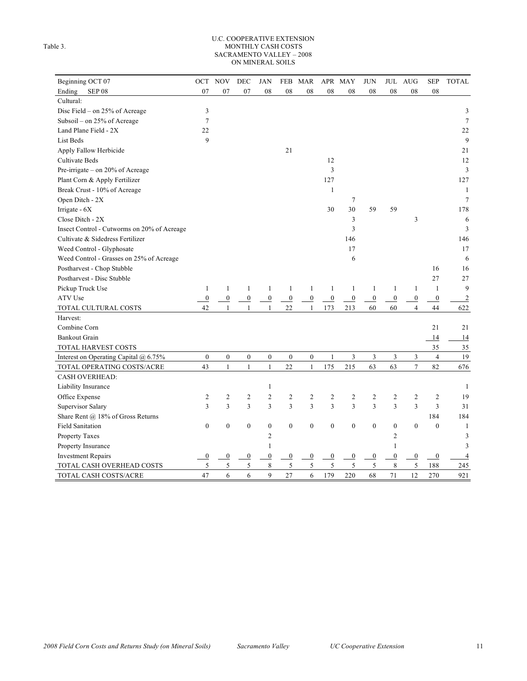#### U.C. COOPERATIVE EXTENSION Table 3. MONTHLY CASH COSTS SACRAMENTO VALLEY – 2008 ON MINERAL SOILS

| Beginning OCT 07                            | OCT              | <b>NOV</b>       | DEC              | <b>JAN</b>       | FEB              | MAR              |                  | APR MAY          | <b>JUN</b>       |                  | JUL AUG          | <b>SEP</b>       | <b>TOTAL</b>   |
|---------------------------------------------|------------------|------------------|------------------|------------------|------------------|------------------|------------------|------------------|------------------|------------------|------------------|------------------|----------------|
| Ending<br>SEP 08                            | 07               | 07               | 07               | 08               | 08               | 08               | 08               | 08               | 08               | 08               | 08               | 08               |                |
| Cultural:                                   |                  |                  |                  |                  |                  |                  |                  |                  |                  |                  |                  |                  |                |
| Disc Field - on 25% of Acreage              | 3                |                  |                  |                  |                  |                  |                  |                  |                  |                  |                  |                  | 3              |
| Subsoil - on 25% of Acreage                 | 7                |                  |                  |                  |                  |                  |                  |                  |                  |                  |                  |                  | $\tau$         |
| Land Plane Field - 2X                       | 22               |                  |                  |                  |                  |                  |                  |                  |                  |                  |                  |                  | 22             |
| List Beds                                   | 9                |                  |                  |                  |                  |                  |                  |                  |                  |                  |                  |                  | 9              |
| Apply Fallow Herbicide                      |                  |                  |                  |                  | 21               |                  |                  |                  |                  |                  |                  |                  | 21             |
| Cultivate Beds                              |                  |                  |                  |                  |                  |                  | 12               |                  |                  |                  |                  |                  | 12             |
| Pre-irrigate – on 20% of Acreage            |                  |                  |                  |                  |                  |                  | 3                |                  |                  |                  |                  |                  | 3              |
| Plant Corn & Apply Fertilizer               |                  |                  |                  |                  |                  |                  | 127              |                  |                  |                  |                  |                  | 127            |
| Break Crust - 10% of Acreage                |                  |                  |                  |                  |                  |                  | 1                |                  |                  |                  |                  |                  | 1              |
| Open Ditch - 2X                             |                  |                  |                  |                  |                  |                  |                  | 7                |                  |                  |                  |                  | $\overline{7}$ |
| Irrigate $-6X$                              |                  |                  |                  |                  |                  |                  | 30               | 30               | 59               | 59               |                  |                  | 178            |
| Close Ditch - 2X                            |                  |                  |                  |                  |                  |                  |                  | 3                |                  |                  | 3                |                  | 6              |
| Insect Control - Cutworms on 20% of Acreage |                  |                  |                  |                  |                  |                  |                  | 3                |                  |                  |                  |                  | 3              |
| Cultivate & Sidedress Fertilizer            |                  |                  |                  |                  |                  |                  |                  | 146              |                  |                  |                  |                  | 146            |
| Weed Control - Glyphosate                   |                  |                  |                  |                  |                  |                  |                  | 17               |                  |                  |                  |                  | 17             |
| Weed Control - Grasses on 25% of Acreage    |                  |                  |                  |                  |                  |                  |                  | 6                |                  |                  |                  |                  | 6              |
| Postharvest - Chop Stubble                  |                  |                  |                  |                  |                  |                  |                  |                  |                  |                  |                  | 16               | 16             |
| Postharvest - Disc Stubble                  |                  |                  |                  |                  |                  |                  |                  |                  |                  |                  |                  | 27               | 27             |
| Pickup Truck Use                            | 1                | 1                | 1                | 1                | 1                | 1                | 1                | 1                | 1                | 1                | 1                | $\mathbf{1}$     | 9              |
| ATV Use                                     | $\overline{0}$   | $\overline{0}$   | $\overline{0}$   | $\overline{0}$   | $\overline{0}$   | $\overline{0}$   | $\overline{0}$   | $\overline{0}$   | $\overline{0}$   | $\overline{0}$   | $\overline{0}$   | $\overline{0}$   | $\overline{c}$ |
| TOTAL CULTURAL COSTS                        | 42               | 1                | 1                | $\mathbf{1}$     | 22               | $\mathbf{1}$     | 173              | 213              | 60               | 60               | $\overline{4}$   | 44               | 622            |
| Harvest:                                    |                  |                  |                  |                  |                  |                  |                  |                  |                  |                  |                  |                  |                |
| Combine Corn                                |                  |                  |                  |                  |                  |                  |                  |                  |                  |                  |                  | 21               | 21             |
| <b>Bankout Grain</b>                        |                  |                  |                  |                  |                  |                  |                  |                  |                  |                  |                  | 14               | 14             |
| <b>TOTAL HARVEST COSTS</b>                  |                  |                  |                  |                  |                  |                  |                  |                  |                  |                  |                  | 35               | 35             |
| Interest on Operating Capital @ 6.75%       | $\boldsymbol{0}$ | $\boldsymbol{0}$ | $\boldsymbol{0}$ | $\boldsymbol{0}$ | $\boldsymbol{0}$ | $\boldsymbol{0}$ | 1                | 3                | 3                | 3                | 3                | $\overline{4}$   | 19             |
| TOTAL OPERATING COSTS/ACRE                  | 43               | 1                | $\mathbf{1}$     | 1                | 22               | $\mathbf{1}$     | 175              | 215              | 63               | 63               | 7                | 82               | 676            |
| <b>CASH OVERHEAD:</b>                       |                  |                  |                  |                  |                  |                  |                  |                  |                  |                  |                  |                  |                |
| Liability Insurance                         |                  |                  |                  | 1                |                  |                  |                  |                  |                  |                  |                  |                  | 1              |
| Office Expense                              | $\overline{c}$   | $\overline{c}$   | $\overline{2}$   | $\overline{c}$   | $\overline{c}$   | 2                | $\overline{c}$   | $\overline{c}$   | 2                | $\overline{c}$   | $\overline{c}$   | $\overline{2}$   | 19             |
| Supervisor Salary                           | 3                | 3                | 3                | 3                | 3                | 3                | 3                | 3                | 3                | 3                | 3                | $\overline{3}$   | 31             |
| Share Rent @ 18% of Gross Returns           |                  |                  |                  |                  |                  |                  |                  |                  |                  |                  |                  | 184              | 184            |
| <b>Field Sanitation</b>                     | $\boldsymbol{0}$ | $\boldsymbol{0}$ | $\boldsymbol{0}$ | $\boldsymbol{0}$ | $\boldsymbol{0}$ | $\boldsymbol{0}$ | $\boldsymbol{0}$ | $\boldsymbol{0}$ | $\boldsymbol{0}$ | $\boldsymbol{0}$ | $\boldsymbol{0}$ | $\mathbf{0}$     | 1              |
| Property Taxes                              |                  |                  |                  | 2                |                  |                  |                  |                  |                  | $\overline{2}$   |                  |                  | 3              |
| Property Insurance                          |                  |                  |                  | 1                |                  |                  |                  |                  |                  | $\mathbf{1}$     |                  |                  | 3              |
| <b>Investment Repairs</b>                   | $\boldsymbol{0}$ | 0                | $\boldsymbol{0}$ | $\boldsymbol{0}$ | $\overline{0}$   | $\overline{0}$   | $\boldsymbol{0}$ | $\overline{0}$   | $\overline{0}$   | $\boldsymbol{0}$ | $\boldsymbol{0}$ | $\boldsymbol{0}$ | $\overline{4}$ |
| TOTAL CASH OVERHEAD COSTS                   | 5                | 5                | 5                | 8                | 5                | 5                | 5                | 5                | 5                | 8                | 5                | 188              | 245            |
| TOTAL CASH COSTS/ACRE                       | 47               | 6                | 6                | $\mathbf{Q}$     | 27               | 6                | 179              | 220              | 68               | 71               | 12               | 270              | 921            |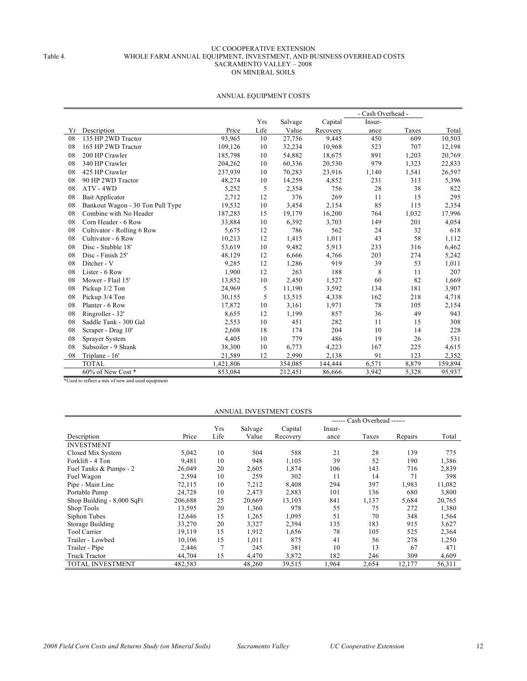#### UC COOOPERATIVE EXTENSION Table 4. WHOLE FARM ANNUAL EQUIPMENT, INVESTMENT, AND BUSINESS OVERHEAD COSTS SACRAMENTO VALLEY – 2008 ON MINERAL SOILS

| Yrs<br>Capital<br>Salvage<br>Insur-<br>Life<br>Description<br>Price<br>Value<br>Total<br>Recovery<br>Taxes<br>Yr<br>ance<br>93,965<br>27,756<br>9,445<br>135 HP 2WD Tractor<br>10<br>450<br>609<br>10,503<br>08<br>32,234<br>10,968<br>12,198<br>165 HP 2WD Tractor<br>109,126<br>10<br>523<br>707<br>08<br>891<br>08<br>200 HP Crawler<br>185,798<br>10<br>54,882<br>18,675<br>1,203<br>20,769<br>20,530<br>979<br>1,323<br>08<br>340 HP Crawler<br>204,262<br>10<br>60,336<br>22,833<br>425 HP Crawler<br>237,939<br>10<br>70,283<br>23,916<br>1,541<br>26,597<br>08<br>1,140<br>90 HP 2WD Tractor<br>10<br>231<br>313<br>08<br>48,274<br>14,259<br>4,852<br>5,396<br>5<br>28<br>38<br>5,252<br>2,354<br>756<br>822<br>08<br>ATV - 4WD<br>12<br>376<br>2,712<br>269<br>15<br>295<br>08<br>Bait Applicator<br>11<br>10<br>2,154<br>85<br>115<br>2,354<br>08<br>Bankout Wagon - 30 Ton Pull Type<br>19,532<br>3,454<br>Combine with No Header<br>187,283<br>15<br>16,200<br>1,032<br>17,996<br>08<br>19,179<br>764<br>08<br>Corn Header - 6 Row<br>33,884<br>10<br>6,392<br>3,703<br>149<br>201<br>4,054<br>786<br>08<br>Cultivator - Rolling 6 Row<br>5,675<br>12<br>562<br>24<br>32<br>618<br>1,011<br>58<br>Cultivator - 6 Row<br>10,213<br>12<br>1,415<br>43<br>1,112<br>08<br>10<br>9,482<br>5,913<br>08<br>Disc - Stubble 18'<br>53,619<br>233<br>316<br>6,462<br>Disc - Finish 25'<br>12<br>203<br>274<br>5,242<br>08<br>48,129<br>6,666<br>4,766<br>12<br>919<br>39<br>53<br>08<br>Ditcher - V<br>9,285<br>1,286<br>1,011<br>12<br>8<br>Lister - 6 Row<br>1,900<br>263<br>188<br>207<br>08<br>11<br>13,852<br>08<br>Mower - Flail 15'<br>10<br>2,450<br>1,527<br>60<br>82<br>1,669<br>5<br>181<br>08<br>Pickup 1/2 Ton<br>24,969<br>11,190<br>3,592<br>134<br>3,907<br>218<br>08<br>Pickup 3/4 Ton<br>30,155<br>5<br>13,515<br>4,338<br>162<br>4,718<br>78<br>08<br>Planter - 6 Row<br>17,872<br>10<br>3,161<br>1,971<br>105<br>2,154<br>Ringroller - 32'<br>12<br>08<br>8,655<br>1,199<br>857<br>36<br>49<br>943<br>451<br>282<br>08<br>Saddle Tank - 300 Gal<br>2,553<br>10<br>11<br>15<br>308<br>08<br>2,608<br>18<br>204<br>10<br>228<br>Scraper - Drag 10'<br>174<br>14<br>779<br>486<br>19<br>26<br>531<br>08<br>Sprayer System<br>4,405<br>10<br>38,300<br>08<br>Subsoiler - 9 Shank<br>10<br>6,773<br>4,223<br>167<br>225<br>4,615<br>91<br>08<br>21,589<br>12<br>2,990<br>2,138<br>123<br>2,352<br>Triplane - 16'<br>6,571<br><b>TOTAL</b><br>,421,806<br>144,444<br>8,879<br>354,085<br>159,894<br>60% of New Cost*<br>5,328<br>95,937<br>853,084<br>212,451<br>86,666<br>3,942 |  |  |  | - Cash Overhead - |  |
|---------------------------------------------------------------------------------------------------------------------------------------------------------------------------------------------------------------------------------------------------------------------------------------------------------------------------------------------------------------------------------------------------------------------------------------------------------------------------------------------------------------------------------------------------------------------------------------------------------------------------------------------------------------------------------------------------------------------------------------------------------------------------------------------------------------------------------------------------------------------------------------------------------------------------------------------------------------------------------------------------------------------------------------------------------------------------------------------------------------------------------------------------------------------------------------------------------------------------------------------------------------------------------------------------------------------------------------------------------------------------------------------------------------------------------------------------------------------------------------------------------------------------------------------------------------------------------------------------------------------------------------------------------------------------------------------------------------------------------------------------------------------------------------------------------------------------------------------------------------------------------------------------------------------------------------------------------------------------------------------------------------------------------------------------------------------------------------------------------------------------------------------------------------------------------------------------------------------------------------------------------------------------------------------------------------------------------------------------------------------------------------------------------------------------------------------------------------------------------------------------------------------------------------------------------------------------------------------------|--|--|--|-------------------|--|
|                                                                                                                                                                                                                                                                                                                                                                                                                                                                                                                                                                                                                                                                                                                                                                                                                                                                                                                                                                                                                                                                                                                                                                                                                                                                                                                                                                                                                                                                                                                                                                                                                                                                                                                                                                                                                                                                                                                                                                                                                                                                                                                                                                                                                                                                                                                                                                                                                                                                                                                                                                                                   |  |  |  |                   |  |
|                                                                                                                                                                                                                                                                                                                                                                                                                                                                                                                                                                                                                                                                                                                                                                                                                                                                                                                                                                                                                                                                                                                                                                                                                                                                                                                                                                                                                                                                                                                                                                                                                                                                                                                                                                                                                                                                                                                                                                                                                                                                                                                                                                                                                                                                                                                                                                                                                                                                                                                                                                                                   |  |  |  |                   |  |
|                                                                                                                                                                                                                                                                                                                                                                                                                                                                                                                                                                                                                                                                                                                                                                                                                                                                                                                                                                                                                                                                                                                                                                                                                                                                                                                                                                                                                                                                                                                                                                                                                                                                                                                                                                                                                                                                                                                                                                                                                                                                                                                                                                                                                                                                                                                                                                                                                                                                                                                                                                                                   |  |  |  |                   |  |
|                                                                                                                                                                                                                                                                                                                                                                                                                                                                                                                                                                                                                                                                                                                                                                                                                                                                                                                                                                                                                                                                                                                                                                                                                                                                                                                                                                                                                                                                                                                                                                                                                                                                                                                                                                                                                                                                                                                                                                                                                                                                                                                                                                                                                                                                                                                                                                                                                                                                                                                                                                                                   |  |  |  |                   |  |
|                                                                                                                                                                                                                                                                                                                                                                                                                                                                                                                                                                                                                                                                                                                                                                                                                                                                                                                                                                                                                                                                                                                                                                                                                                                                                                                                                                                                                                                                                                                                                                                                                                                                                                                                                                                                                                                                                                                                                                                                                                                                                                                                                                                                                                                                                                                                                                                                                                                                                                                                                                                                   |  |  |  |                   |  |
|                                                                                                                                                                                                                                                                                                                                                                                                                                                                                                                                                                                                                                                                                                                                                                                                                                                                                                                                                                                                                                                                                                                                                                                                                                                                                                                                                                                                                                                                                                                                                                                                                                                                                                                                                                                                                                                                                                                                                                                                                                                                                                                                                                                                                                                                                                                                                                                                                                                                                                                                                                                                   |  |  |  |                   |  |
|                                                                                                                                                                                                                                                                                                                                                                                                                                                                                                                                                                                                                                                                                                                                                                                                                                                                                                                                                                                                                                                                                                                                                                                                                                                                                                                                                                                                                                                                                                                                                                                                                                                                                                                                                                                                                                                                                                                                                                                                                                                                                                                                                                                                                                                                                                                                                                                                                                                                                                                                                                                                   |  |  |  |                   |  |
|                                                                                                                                                                                                                                                                                                                                                                                                                                                                                                                                                                                                                                                                                                                                                                                                                                                                                                                                                                                                                                                                                                                                                                                                                                                                                                                                                                                                                                                                                                                                                                                                                                                                                                                                                                                                                                                                                                                                                                                                                                                                                                                                                                                                                                                                                                                                                                                                                                                                                                                                                                                                   |  |  |  |                   |  |
|                                                                                                                                                                                                                                                                                                                                                                                                                                                                                                                                                                                                                                                                                                                                                                                                                                                                                                                                                                                                                                                                                                                                                                                                                                                                                                                                                                                                                                                                                                                                                                                                                                                                                                                                                                                                                                                                                                                                                                                                                                                                                                                                                                                                                                                                                                                                                                                                                                                                                                                                                                                                   |  |  |  |                   |  |
|                                                                                                                                                                                                                                                                                                                                                                                                                                                                                                                                                                                                                                                                                                                                                                                                                                                                                                                                                                                                                                                                                                                                                                                                                                                                                                                                                                                                                                                                                                                                                                                                                                                                                                                                                                                                                                                                                                                                                                                                                                                                                                                                                                                                                                                                                                                                                                                                                                                                                                                                                                                                   |  |  |  |                   |  |
|                                                                                                                                                                                                                                                                                                                                                                                                                                                                                                                                                                                                                                                                                                                                                                                                                                                                                                                                                                                                                                                                                                                                                                                                                                                                                                                                                                                                                                                                                                                                                                                                                                                                                                                                                                                                                                                                                                                                                                                                                                                                                                                                                                                                                                                                                                                                                                                                                                                                                                                                                                                                   |  |  |  |                   |  |
|                                                                                                                                                                                                                                                                                                                                                                                                                                                                                                                                                                                                                                                                                                                                                                                                                                                                                                                                                                                                                                                                                                                                                                                                                                                                                                                                                                                                                                                                                                                                                                                                                                                                                                                                                                                                                                                                                                                                                                                                                                                                                                                                                                                                                                                                                                                                                                                                                                                                                                                                                                                                   |  |  |  |                   |  |
|                                                                                                                                                                                                                                                                                                                                                                                                                                                                                                                                                                                                                                                                                                                                                                                                                                                                                                                                                                                                                                                                                                                                                                                                                                                                                                                                                                                                                                                                                                                                                                                                                                                                                                                                                                                                                                                                                                                                                                                                                                                                                                                                                                                                                                                                                                                                                                                                                                                                                                                                                                                                   |  |  |  |                   |  |
|                                                                                                                                                                                                                                                                                                                                                                                                                                                                                                                                                                                                                                                                                                                                                                                                                                                                                                                                                                                                                                                                                                                                                                                                                                                                                                                                                                                                                                                                                                                                                                                                                                                                                                                                                                                                                                                                                                                                                                                                                                                                                                                                                                                                                                                                                                                                                                                                                                                                                                                                                                                                   |  |  |  |                   |  |
|                                                                                                                                                                                                                                                                                                                                                                                                                                                                                                                                                                                                                                                                                                                                                                                                                                                                                                                                                                                                                                                                                                                                                                                                                                                                                                                                                                                                                                                                                                                                                                                                                                                                                                                                                                                                                                                                                                                                                                                                                                                                                                                                                                                                                                                                                                                                                                                                                                                                                                                                                                                                   |  |  |  |                   |  |
|                                                                                                                                                                                                                                                                                                                                                                                                                                                                                                                                                                                                                                                                                                                                                                                                                                                                                                                                                                                                                                                                                                                                                                                                                                                                                                                                                                                                                                                                                                                                                                                                                                                                                                                                                                                                                                                                                                                                                                                                                                                                                                                                                                                                                                                                                                                                                                                                                                                                                                                                                                                                   |  |  |  |                   |  |
|                                                                                                                                                                                                                                                                                                                                                                                                                                                                                                                                                                                                                                                                                                                                                                                                                                                                                                                                                                                                                                                                                                                                                                                                                                                                                                                                                                                                                                                                                                                                                                                                                                                                                                                                                                                                                                                                                                                                                                                                                                                                                                                                                                                                                                                                                                                                                                                                                                                                                                                                                                                                   |  |  |  |                   |  |
|                                                                                                                                                                                                                                                                                                                                                                                                                                                                                                                                                                                                                                                                                                                                                                                                                                                                                                                                                                                                                                                                                                                                                                                                                                                                                                                                                                                                                                                                                                                                                                                                                                                                                                                                                                                                                                                                                                                                                                                                                                                                                                                                                                                                                                                                                                                                                                                                                                                                                                                                                                                                   |  |  |  |                   |  |
|                                                                                                                                                                                                                                                                                                                                                                                                                                                                                                                                                                                                                                                                                                                                                                                                                                                                                                                                                                                                                                                                                                                                                                                                                                                                                                                                                                                                                                                                                                                                                                                                                                                                                                                                                                                                                                                                                                                                                                                                                                                                                                                                                                                                                                                                                                                                                                                                                                                                                                                                                                                                   |  |  |  |                   |  |
|                                                                                                                                                                                                                                                                                                                                                                                                                                                                                                                                                                                                                                                                                                                                                                                                                                                                                                                                                                                                                                                                                                                                                                                                                                                                                                                                                                                                                                                                                                                                                                                                                                                                                                                                                                                                                                                                                                                                                                                                                                                                                                                                                                                                                                                                                                                                                                                                                                                                                                                                                                                                   |  |  |  |                   |  |
|                                                                                                                                                                                                                                                                                                                                                                                                                                                                                                                                                                                                                                                                                                                                                                                                                                                                                                                                                                                                                                                                                                                                                                                                                                                                                                                                                                                                                                                                                                                                                                                                                                                                                                                                                                                                                                                                                                                                                                                                                                                                                                                                                                                                                                                                                                                                                                                                                                                                                                                                                                                                   |  |  |  |                   |  |
|                                                                                                                                                                                                                                                                                                                                                                                                                                                                                                                                                                                                                                                                                                                                                                                                                                                                                                                                                                                                                                                                                                                                                                                                                                                                                                                                                                                                                                                                                                                                                                                                                                                                                                                                                                                                                                                                                                                                                                                                                                                                                                                                                                                                                                                                                                                                                                                                                                                                                                                                                                                                   |  |  |  |                   |  |
|                                                                                                                                                                                                                                                                                                                                                                                                                                                                                                                                                                                                                                                                                                                                                                                                                                                                                                                                                                                                                                                                                                                                                                                                                                                                                                                                                                                                                                                                                                                                                                                                                                                                                                                                                                                                                                                                                                                                                                                                                                                                                                                                                                                                                                                                                                                                                                                                                                                                                                                                                                                                   |  |  |  |                   |  |
|                                                                                                                                                                                                                                                                                                                                                                                                                                                                                                                                                                                                                                                                                                                                                                                                                                                                                                                                                                                                                                                                                                                                                                                                                                                                                                                                                                                                                                                                                                                                                                                                                                                                                                                                                                                                                                                                                                                                                                                                                                                                                                                                                                                                                                                                                                                                                                                                                                                                                                                                                                                                   |  |  |  |                   |  |
|                                                                                                                                                                                                                                                                                                                                                                                                                                                                                                                                                                                                                                                                                                                                                                                                                                                                                                                                                                                                                                                                                                                                                                                                                                                                                                                                                                                                                                                                                                                                                                                                                                                                                                                                                                                                                                                                                                                                                                                                                                                                                                                                                                                                                                                                                                                                                                                                                                                                                                                                                                                                   |  |  |  |                   |  |
|                                                                                                                                                                                                                                                                                                                                                                                                                                                                                                                                                                                                                                                                                                                                                                                                                                                                                                                                                                                                                                                                                                                                                                                                                                                                                                                                                                                                                                                                                                                                                                                                                                                                                                                                                                                                                                                                                                                                                                                                                                                                                                                                                                                                                                                                                                                                                                                                                                                                                                                                                                                                   |  |  |  |                   |  |
|                                                                                                                                                                                                                                                                                                                                                                                                                                                                                                                                                                                                                                                                                                                                                                                                                                                                                                                                                                                                                                                                                                                                                                                                                                                                                                                                                                                                                                                                                                                                                                                                                                                                                                                                                                                                                                                                                                                                                                                                                                                                                                                                                                                                                                                                                                                                                                                                                                                                                                                                                                                                   |  |  |  |                   |  |
|                                                                                                                                                                                                                                                                                                                                                                                                                                                                                                                                                                                                                                                                                                                                                                                                                                                                                                                                                                                                                                                                                                                                                                                                                                                                                                                                                                                                                                                                                                                                                                                                                                                                                                                                                                                                                                                                                                                                                                                                                                                                                                                                                                                                                                                                                                                                                                                                                                                                                                                                                                                                   |  |  |  |                   |  |
|                                                                                                                                                                                                                                                                                                                                                                                                                                                                                                                                                                                                                                                                                                                                                                                                                                                                                                                                                                                                                                                                                                                                                                                                                                                                                                                                                                                                                                                                                                                                                                                                                                                                                                                                                                                                                                                                                                                                                                                                                                                                                                                                                                                                                                                                                                                                                                                                                                                                                                                                                                                                   |  |  |  |                   |  |
|                                                                                                                                                                                                                                                                                                                                                                                                                                                                                                                                                                                                                                                                                                                                                                                                                                                                                                                                                                                                                                                                                                                                                                                                                                                                                                                                                                                                                                                                                                                                                                                                                                                                                                                                                                                                                                                                                                                                                                                                                                                                                                                                                                                                                                                                                                                                                                                                                                                                                                                                                                                                   |  |  |  |                   |  |
|                                                                                                                                                                                                                                                                                                                                                                                                                                                                                                                                                                                                                                                                                                                                                                                                                                                                                                                                                                                                                                                                                                                                                                                                                                                                                                                                                                                                                                                                                                                                                                                                                                                                                                                                                                                                                                                                                                                                                                                                                                                                                                                                                                                                                                                                                                                                                                                                                                                                                                                                                                                                   |  |  |  |                   |  |

#### ANNUAL EQUIPMENT COSTS

\*Used to reflect a mix of new and used equipment

|                            |         |                |         | ANNUAL INVESTMENT COSTS |        |                      |         |        |
|----------------------------|---------|----------------|---------|-------------------------|--------|----------------------|---------|--------|
|                            |         |                |         |                         |        | Cash Overhead ------ |         |        |
|                            |         | Yrs            | Salvage | Capital                 | Insur- |                      |         |        |
| Description                | Price   | Life           | Value   | Recovery                | ance   | Taxes                | Repairs | Total  |
| <b>INVESTMENT</b>          |         |                |         |                         |        |                      |         |        |
| Closed Mix System          | 5,042   | 10             | 504     | 588                     | 21     | 28                   | 139     | 775    |
| Forklift - 4 Ton           | 9,481   | 10             | 948     | 1,105                   | 39     | 52                   | 190     | 1,386  |
| Fuel Tanks & Pumps - 2     | 26,049  | 20             | 2,605   | 1,874                   | 106    | 143                  | 716     | 2,839  |
| Fuel Wagon                 | 2,594   | 10             | 259     | 302                     | 11     | 14                   | 71      | 398    |
| Pipe - Main Line           | 72,115  | 10             | 7,212   | 8,408                   | 294    | 397                  | 1,983   | 11,082 |
| Portable Pump              | 24,728  | 10             | 2,473   | 2,883                   | 101    | 136                  | 680     | 3,800  |
| Shop Building - 8,000 SqFt | 206,688 | 25             | 20,669  | 13,103                  | 841    | 1,137                | 5,684   | 20,765 |
| Shop Tools                 | 13,595  | 20             | 1,360   | 978                     | 55     | 75                   | 272     | 1,380  |
| Siphon Tubes               | 12,646  | 15             | 1,265   | 1,095                   | 51     | 70                   | 348     | 1,564  |
| Storage Building           | 33,270  | 20             | 3,327   | 2,394                   | 135    | 183                  | 915     | 3,627  |
| <b>Tool Carrier</b>        | 19,119  | 15             | 1,912   | 1,656                   | 78     | 105                  | 525     | 2,364  |
| Trailer - Lowbed           | 10,106  | 15             | 1,011   | 875                     | 41     | 56                   | 278     | 1,250  |
| Trailer - Pipe             | 2,446   | $\overline{7}$ | 245     | 381                     | 10     | 13                   | 67      | 471    |
| <b>Truck Tractor</b>       | 44,704  | 15             | 4,470   | 3,872                   | 182    | 246                  | 309     | 4,609  |
| TOTAL INVESTMENT           | 482,583 |                | 48,260  | 39,515                  | 1,964  | 2,654                | 12,177  | 56,311 |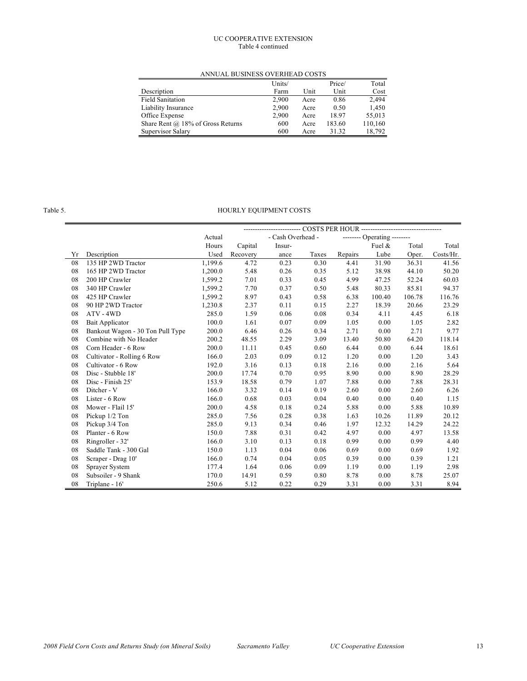#### UC COOPERATIVE EXTENSION Table 4 continued

ANNUAL BUSINESS OVERHEAD COSTS

|                                     | Units/ |      | Price/ | Total   |
|-------------------------------------|--------|------|--------|---------|
| Description                         | Farm   | Unit | Unit   | Cost    |
| <b>Field Sanitation</b>             | 2.900  | Acre | 0.86   | 2.494   |
| Liability Insurance                 | 2.900  | Acre | 0.50   | 1,450   |
| Office Expense                      | 2,900  | Acre | 18.97  | 55,013  |
| Share Rent $@$ 18% of Gross Returns | 600    | Acre | 183.60 | 110,160 |
| Supervisor Salary                   | 600    | Acre | 31.32  | 18.792  |

#### Table 5. HOURLY EQUIPMENT COSTS

|    |                                  | -------------- COSTS PER HOUR ----------------------------------- |          |                   |       |         |                             |        |           |
|----|----------------------------------|-------------------------------------------------------------------|----------|-------------------|-------|---------|-----------------------------|--------|-----------|
|    |                                  | Actual                                                            |          | - Cash Overhead - |       |         | -------- Operating -------- |        |           |
|    |                                  | Hours                                                             | Capital  | Insur-            |       |         | Fuel $\&$                   | Total  | Total     |
| Yr | Description                      | Used                                                              | Recovery | ance              | Taxes | Repairs | Lube                        | Oper.  | Costs/Hr. |
| 08 | 135 HP 2WD Tractor               | 1,199.6                                                           | 4.72     | 0.23              | 0.30  | 4.41    | 31.90                       | 36.31  | 41.56     |
| 08 | 165 HP 2WD Tractor               | 1,200.0                                                           | 5.48     | 0.26              | 0.35  | 5.12    | 38.98                       | 44.10  | 50.20     |
| 08 | 200 HP Crawler                   | 1,599.2                                                           | 7.01     | 0.33              | 0.45  | 4.99    | 47.25                       | 52.24  | 60.03     |
| 08 | 340 HP Crawler                   | 1,599.2                                                           | 7.70     | 0.37              | 0.50  | 5.48    | 80.33                       | 85.81  | 94.37     |
| 08 | 425 HP Crawler                   | 1,599.2                                                           | 8.97     | 0.43              | 0.58  | 6.38    | 100.40                      | 106.78 | 116.76    |
| 08 | 90 HP 2WD Tractor                | 1,230.8                                                           | 2.37     | 0.11              | 0.15  | 2.27    | 18.39                       | 20.66  | 23.29     |
| 08 | ATV - 4WD                        | 285.0                                                             | 1.59     | 0.06              | 0.08  | 0.34    | 4.11                        | 4.45   | 6.18      |
| 08 | Bait Applicator                  | 100.0                                                             | 1.61     | 0.07              | 0.09  | 1.05    | 0.00                        | 1.05   | 2.82      |
| 08 | Bankout Wagon - 30 Ton Pull Type | 200.0                                                             | 6.46     | 0.26              | 0.34  | 2.71    | 0.00                        | 2.71   | 9.77      |
| 08 | Combine with No Header           | 200.2                                                             | 48.55    | 2.29              | 3.09  | 13.40   | 50.80                       | 64.20  | 118.14    |
| 08 | Corn Header - 6 Row              | 200.0                                                             | 11.11    | 0.45              | 0.60  | 6.44    | 0.00                        | 6.44   | 18.61     |
| 08 | Cultivator - Rolling 6 Row       | 166.0                                                             | 2.03     | 0.09              | 0.12  | 1.20    | 0.00                        | 1.20   | 3.43      |
| 08 | Cultivator - 6 Row               | 192.0                                                             | 3.16     | 0.13              | 0.18  | 2.16    | 0.00                        | 2.16   | 5.64      |
| 08 | Disc - Stubble 18'               | 200.0                                                             | 17.74    | 0.70              | 0.95  | 8.90    | 0.00                        | 8.90   | 28.29     |
| 08 | Disc - Finish 25'                | 153.9                                                             | 18.58    | 0.79              | 1.07  | 7.88    | 0.00                        | 7.88   | 28.31     |
| 08 | Ditcher - V                      | 166.0                                                             | 3.32     | 0.14              | 0.19  | 2.60    | 0.00                        | 2.60   | 6.26      |
| 08 | Lister - 6 Row                   | 166.0                                                             | 0.68     | 0.03              | 0.04  | 0.40    | 0.00                        | 0.40   | 1.15      |
| 08 | Mower - Flail 15'                | 200.0                                                             | 4.58     | 0.18              | 0.24  | 5.88    | 0.00                        | 5.88   | 10.89     |
| 08 | Pickup 1/2 Ton                   | 285.0                                                             | 7.56     | 0.28              | 0.38  | 1.63    | 10.26                       | 11.89  | 20.12     |
| 08 | Pickup 3/4 Ton                   | 285.0                                                             | 9.13     | 0.34              | 0.46  | 1.97    | 12.32                       | 14.29  | 24.22     |
| 08 | Planter - 6 Row                  | 150.0                                                             | 7.88     | 0.31              | 0.42  | 4.97    | 0.00                        | 4.97   | 13.58     |
| 08 | Ringroller - 32'                 | 166.0                                                             | 3.10     | 0.13              | 0.18  | 0.99    | 0.00                        | 0.99   | 4.40      |
| 08 | Saddle Tank - 300 Gal            | 150.0                                                             | 1.13     | 0.04              | 0.06  | 0.69    | 0.00                        | 0.69   | 1.92      |
| 08 | Scraper - Drag 10'               | 166.0                                                             | 0.74     | 0.04              | 0.05  | 0.39    | 0.00                        | 0.39   | 1.21      |
| 08 | Sprayer System                   | 177.4                                                             | 1.64     | 0.06              | 0.09  | 1.19    | 0.00                        | 1.19   | 2.98      |
| 08 | Subsoiler - 9 Shank              | 170.0                                                             | 14.91    | 0.59              | 0.80  | 8.78    | 0.00                        | 8.78   | 25.07     |
| 08 | Triplane - 16'                   | 250.6                                                             | 5.12     | 0.22              | 0.29  | 3.31    | 0.00                        | 3.31   | 8.94      |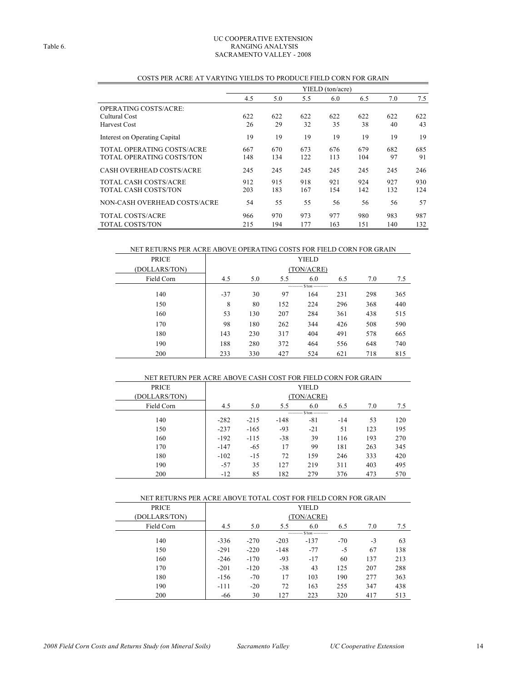#### UC COOPERATIVE EXTENSION Table 6. RANGING ANALYSIS SACRAMENTO VALLEY - 2008

|                                  |     |     |     | YIELD (ton/acre) |     |     |     |
|----------------------------------|-----|-----|-----|------------------|-----|-----|-----|
|                                  | 4.5 | 5.0 | 5.5 | 6.0              | 6.5 | 7.0 | 7.5 |
| OPERATING COSTS/ACRE:            |     |     |     |                  |     |     |     |
| Cultural Cost                    | 622 | 622 | 622 | 622              | 622 | 622 | 622 |
| <b>Harvest Cost</b>              | 26  | 29  | 32  | 35               | 38  | 40  | 43  |
| Interest on Operating Capital    | 19  | 19  | 19  | 19               | 19  | 19  | 19  |
| TOTAL OPERATING COSTS/ACRE       | 667 | 670 | 673 | 676              | 679 | 682 | 685 |
| <b>TOTAL OPERATING COSTS/TON</b> | 148 | 134 | 122 | 113              | 104 | 97  | 91  |
| <b>CASH OVERHEAD COSTS/ACRE</b>  | 245 | 245 | 245 | 245              | 245 | 245 | 246 |
| <b>TOTAL CASH COSTS/ACRE</b>     | 912 | 915 | 918 | 921              | 924 | 927 | 930 |
| <b>TOTAL CASH COSTS/TON</b>      | 203 | 183 | 167 | 154              | 142 | 132 | 124 |
| NON-CASH OVERHEAD COSTS/ACRE     | 54  | 55  | 55  | 56               | 56  | 56  | 57  |
| TOTAL COSTS/ACRE                 | 966 | 970 | 973 | 977              | 980 | 983 | 987 |
| <b>TOTAL COSTS/TON</b>           | 215 | 194 | 177 | 163              | 151 | 140 | 132 |

#### COSTS PER ACRE AT VARYING YIELDS TO PRODUCE FIELD CORN FOR GRAIN

#### NET RETURNS PER ACRE ABOVE OPERATING COSTS FOR FIELD CORN FOR GRAIN

| <b>PRICE</b>  |       | YIELD      |     |                             |     |     |     |
|---------------|-------|------------|-----|-----------------------------|-----|-----|-----|
| (DOLLARS/TON) |       | (TON/ACRE) |     |                             |     |     |     |
| Field Corn    | 4.5   | 5.0        | 5.5 | 6.0                         | 6.5 | 7.0 | 7.5 |
|               |       |            |     | ---------- S/ton ---------- |     |     |     |
| 140           | $-37$ | 30         | 97  | 164                         | 231 | 298 | 365 |
| 150           | 8     | 80         | 152 | 224                         | 296 | 368 | 440 |
| 160           | 53    | 130        | 207 | 284                         | 361 | 438 | 515 |
| 170           | 98    | 180        | 262 | 344                         | 426 | 508 | 590 |
| 180           | 143   | 230        | 317 | 404                         | 491 | 578 | 665 |
| 190           | 188   | 280        | 372 | 464                         | 556 | 648 | 740 |
| 200           | 233   | 330        | 427 | 524                         | 621 | 718 | 815 |

| NET RETURN PER ACRE ABOVE CASH COST FOR FIELD CORN FOR GRAIN |        |            |        |                              |       |     |     |  |
|--------------------------------------------------------------|--------|------------|--------|------------------------------|-------|-----|-----|--|
| <b>PRICE</b>                                                 |        | YIELD      |        |                              |       |     |     |  |
| (DOLLARS/TON)                                                |        | (TON/ACRE) |        |                              |       |     |     |  |
| Field Corn                                                   | 4.5    | 5.0        | 5.5    | 6.0                          | 6.5   | 7.0 | 7.5 |  |
|                                                              |        |            |        | ---------- \$/ton ---------- |       |     |     |  |
| 140                                                          | $-282$ | $-215$     | $-148$ | $-81$                        | $-14$ | 53  | 120 |  |
| 150                                                          | $-237$ | $-165$     | $-93$  | $-21$                        | 51    | 123 | 195 |  |
| 160                                                          | $-192$ | $-115$     | $-38$  | 39                           | 116   | 193 | 270 |  |
| 170                                                          | $-147$ | $-65$      | 17     | 99                           | 181   | 263 | 345 |  |
| 180                                                          | $-102$ | $-15$      | 72     | 159                          | 246   | 333 | 420 |  |
| 190                                                          | $-57$  | 35         | 127    | 219                          | 311   | 403 | 495 |  |
| 200                                                          | $-12$  | 85         | 182    | 279                          | 376   | 473 | 570 |  |

| NET RETURNS PER ACRE ABOVE TOTAL COST FOR FIELD CORN FOR GRAIN |            |              |        |                             |       |      |     |  |
|----------------------------------------------------------------|------------|--------------|--------|-----------------------------|-------|------|-----|--|
| <b>PRICE</b>                                                   |            | <b>YIELD</b> |        |                             |       |      |     |  |
| (DOLLARS/TON)                                                  | (TON/ACRE) |              |        |                             |       |      |     |  |
| Field Corn                                                     | 4.5        | 5.0          | 5.5    | 6.0                         | 6.5   | 7.0  | 7.5 |  |
|                                                                |            |              |        | ---------- S/ton ---------- |       |      |     |  |
| 140                                                            | $-336$     | $-270$       | $-203$ | $-137$                      | $-70$ | $-3$ | 63  |  |
| 150                                                            | $-291$     | $-220$       | $-148$ | $-77$                       | -5    | 67   | 138 |  |
| 160                                                            | $-246$     | $-170$       | $-93$  | $-17$                       | 60    | 137  | 213 |  |
| 170                                                            | $-201$     | $-120$       | $-38$  | 43                          | 125   | 207  | 288 |  |
| 180                                                            | $-156$     | $-70$        | 17     | 103                         | 190   | 277  | 363 |  |
| 190                                                            | $-111$     | $-20$        | 72     | 163                         | 255   | 347  | 438 |  |
| 200                                                            | -66        | 30           | 127    | 223                         | 320   | 417  | 513 |  |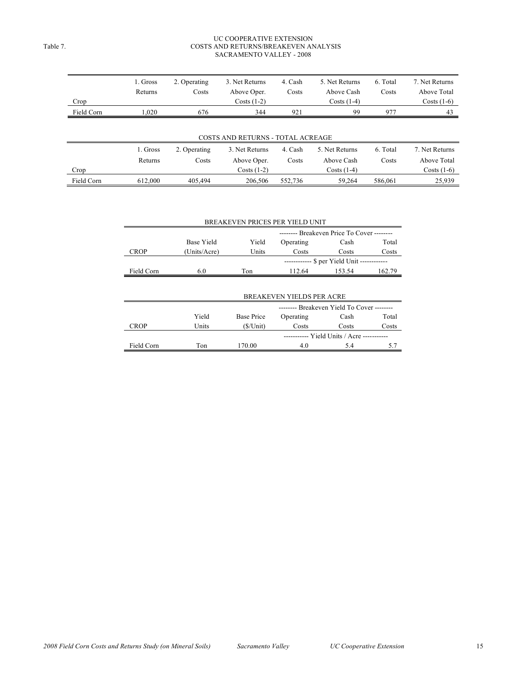#### UC COOPERATIVE EXTENSION Table 7. COSTS AND RETURNS/BREAKEVEN ANALYSIS SACRAMENTO VALLEY - 2008

| Crop       | 1. Gross<br>Returns | 2. Operating<br>Costs | 3. Net Returns<br>Above Oper.<br>$Costs(1-2)$ | 4. Cash<br>Costs | 5. Net Returns<br>Above Cash<br>Costs $(1-4)$ | 6. Total<br>Costs | 7. Net Returns<br>Above Total<br>Costs $(1-6)$ |
|------------|---------------------|-----------------------|-----------------------------------------------|------------------|-----------------------------------------------|-------------------|------------------------------------------------|
| Field Corn | 1,020               | 676                   | 344                                           | 921              | 99                                            | 977               | 43                                             |
|            |                     |                       |                                               |                  |                                               |                   |                                                |
|            |                     |                       | COSTS AND RETURNS - TOTAL ACREAGE             |                  |                                               |                   |                                                |
|            | 1. Gross            | 2. Operating          | 3. Net Returns                                | 4. Cash          | 5. Net Returns                                | 6. Total          | 7. Net Returns                                 |
|            | Returns             | Costs                 | Above Oper.                                   | Costs            | Above Cash                                    | Costs             | Above Total                                    |
| Crop       |                     |                       | Costs $(1-2)$                                 |                  | Costs $(1-4)$                                 |                   | Costs $(1-6)$                                  |
| Field Corn | 612.000             | 405,494               | 206,506                                       | 552,736          | 59,264                                        | 586,061           | 25,939                                         |

|             |              |                   | BREAKEVEN PRICES PER YIELD UNIT            |                                            |        |
|-------------|--------------|-------------------|--------------------------------------------|--------------------------------------------|--------|
|             |              |                   | -------- Breakeven Price To Cover -------- |                                            |        |
|             | Base Yield   | Yield             | Operating                                  | Cash                                       | Total  |
| <b>CROP</b> | (Units/Acre) | Units             | Costs                                      | Costs                                      | Costs  |
|             |              |                   |                                            | ----------- \$ per Yield Unit ------------ |        |
| Field Corn  | 6.0          | Ton               | 112.64                                     | 153.54                                     | 162.79 |
|             |              |                   |                                            |                                            |        |
|             |              |                   | <b>BREAKEVEN YIELDS PER ACRE</b>           |                                            |        |
|             |              |                   | -------- Breakeven Yield To Cover -------- |                                            |        |
|             | Yield        | <b>Base Price</b> | Operating                                  | Cash                                       | Total  |
| <b>CROP</b> | Units        | (S/Unit)          | Costs                                      | Costs                                      | Costs  |
|             |              |                   |                                            | ----------- Yield Units / Acre ----------- |        |
| Field Corn  | Ton          | 170.00            | 4.0                                        | 5.4                                        | 5.7    |